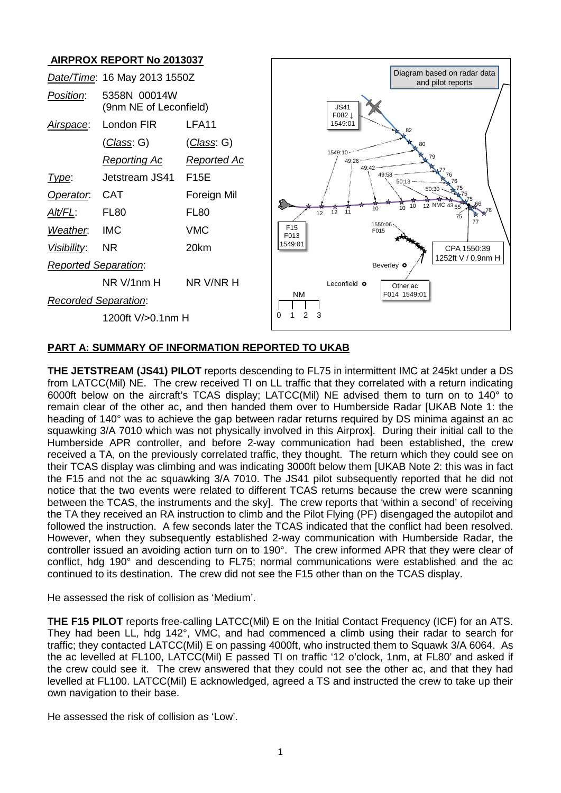# **AIRPROX REPORT No 2013037**



#### **PART A: SUMMARY OF INFORMATION REPORTED TO UKAB**

**THE JETSTREAM (JS41) PILOT** reports descending to FL75 in intermittent IMC at 245kt under a DS from LATCC(Mil) NE. The crew received TI on LL traffic that they correlated with a return indicating 6000ft below on the aircraft's TCAS display; LATCC(Mil) NE advised them to turn on to 140° to remain clear of the other ac, and then handed them over to Humberside Radar [UKAB Note 1: the heading of 140° was to achieve the gap between radar returns required by DS minima against an ac squawking 3/A 7010 which was not physically involved in this Airprox]. During their initial call to the Humberside APR controller, and before 2-way communication had been established, the crew received a TA, on the previously correlated traffic, they thought. The return which they could see on their TCAS display was climbing and was indicating 3000ft below them [UKAB Note 2: this was in fact the F15 and not the ac squawking 3/A 7010. The JS41 pilot subsequently reported that he did not notice that the two events were related to different TCAS returns because the crew were scanning between the TCAS, the instruments and the sky]. The crew reports that 'within a second' of receiving the TA they received an RA instruction to climb and the Pilot Flying (PF) disengaged the autopilot and followed the instruction. A few seconds later the TCAS indicated that the conflict had been resolved. However, when they subsequently established 2-way communication with Humberside Radar, the controller issued an avoiding action turn on to 190°. The crew informed APR that they were clear of conflict, hdg 190° and descending to FL75; normal communications were established and the ac continued to its destination. The crew did not see the F15 other than on the TCAS display.

He assessed the risk of collision as 'Medium'.

**THE F15 PILOT** reports free-calling LATCC(Mil) E on the Initial Contact Frequency (ICF) for an ATS. They had been LL, hdg 142°, VMC, and had commenced a climb using their radar to search for traffic; they contacted LATCC(Mil) E on passing 4000ft, who instructed them to Squawk 3/A 6064. As the ac levelled at FL100, LATCC(Mil) E passed TI on traffic '12 o'clock, 1nm, at FL80' and asked if the crew could see it. The crew answered that they could not see the other ac, and that they had levelled at FL100. LATCC(Mil) E acknowledged, agreed a TS and instructed the crew to take up their own navigation to their base.

He assessed the risk of collision as 'Low'.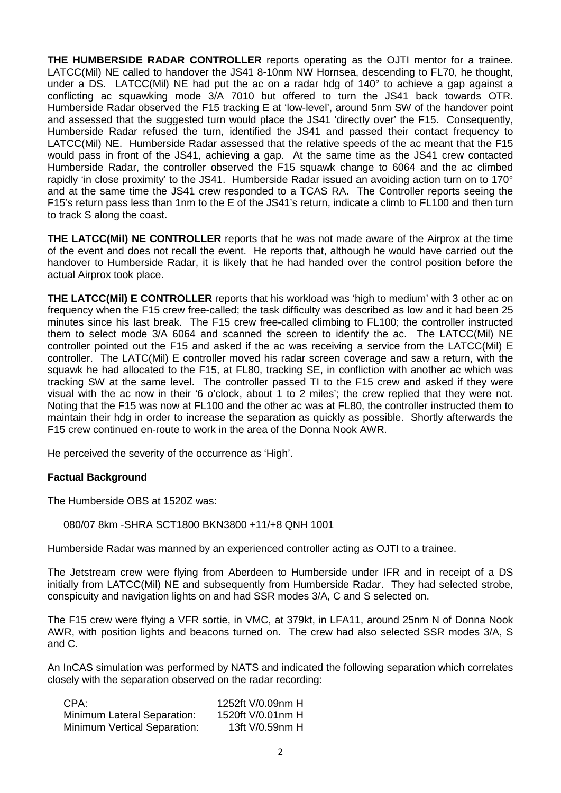**THE HUMBERSIDE RADAR CONTROLLER** reports operating as the OJTI mentor for a trainee. LATCC(Mil) NE called to handover the JS41 8-10nm NW Hornsea, descending to FL70, he thought, under a DS. LATCC(Mil) NE had put the ac on a radar hdg of 140° to achieve a gap against a conflicting ac squawking mode 3/A 7010 but offered to turn the JS41 back towards OTR. Humberside Radar observed the F15 tracking E at 'low-level', around 5nm SW of the handover point and assessed that the suggested turn would place the JS41 'directly over' the F15. Consequently, Humberside Radar refused the turn, identified the JS41 and passed their contact frequency to LATCC(Mil) NE. Humberside Radar assessed that the relative speeds of the ac meant that the F15 would pass in front of the JS41, achieving a gap. At the same time as the JS41 crew contacted Humberside Radar, the controller observed the F15 squawk change to 6064 and the ac climbed rapidly 'in close proximity' to the JS41. Humberside Radar issued an avoiding action turn on to 170° and at the same time the JS41 crew responded to a TCAS RA. The Controller reports seeing the F15's return pass less than 1nm to the E of the JS41's return, indicate a climb to FL100 and then turn to track S along the coast.

**THE LATCC(Mil) NE CONTROLLER** reports that he was not made aware of the Airprox at the time of the event and does not recall the event. He reports that, although he would have carried out the handover to Humberside Radar, it is likely that he had handed over the control position before the actual Airprox took place.

**THE LATCC(Mil) E CONTROLLER** reports that his workload was 'high to medium' with 3 other ac on frequency when the F15 crew free-called; the task difficulty was described as low and it had been 25 minutes since his last break. The F15 crew free-called climbing to FL100; the controller instructed them to select mode 3/A 6064 and scanned the screen to identify the ac. The LATCC(Mil) NE controller pointed out the F15 and asked if the ac was receiving a service from the LATCC(Mil) E controller. The LATC(Mil) E controller moved his radar screen coverage and saw a return, with the squawk he had allocated to the F15, at FL80, tracking SE, in confliction with another ac which was tracking SW at the same level. The controller passed TI to the F15 crew and asked if they were visual with the ac now in their '6 o'clock, about 1 to 2 miles'; the crew replied that they were not. Noting that the F15 was now at FL100 and the other ac was at FL80, the controller instructed them to maintain their hdg in order to increase the separation as quickly as possible. Shortly afterwards the F15 crew continued en-route to work in the area of the Donna Nook AWR.

He perceived the severity of the occurrence as 'High'.

#### **Factual Background**

The Humberside OBS at 1520Z was:

080/07 8km -SHRA SCT1800 BKN3800 +11/+8 QNH 1001

Humberside Radar was manned by an experienced controller acting as OJTI to a trainee.

The Jetstream crew were flying from Aberdeen to Humberside under IFR and in receipt of a DS initially from LATCC(Mil) NE and subsequently from Humberside Radar. They had selected strobe, conspicuity and navigation lights on and had SSR modes 3/A, C and S selected on.

The F15 crew were flying a VFR sortie, in VMC, at 379kt, in LFA11, around 25nm N of Donna Nook AWR, with position lights and beacons turned on. The crew had also selected SSR modes 3/A, S and C.

An InCAS simulation was performed by NATS and indicated the following separation which correlates closely with the separation observed on the radar recording:

| CPA:                                | 1252ft V/0.09nm H |
|-------------------------------------|-------------------|
| <b>Minimum Lateral Separation:</b>  | 1520ft V/0.01nm H |
| <b>Minimum Vertical Separation:</b> | 13ft V/0.59nm H   |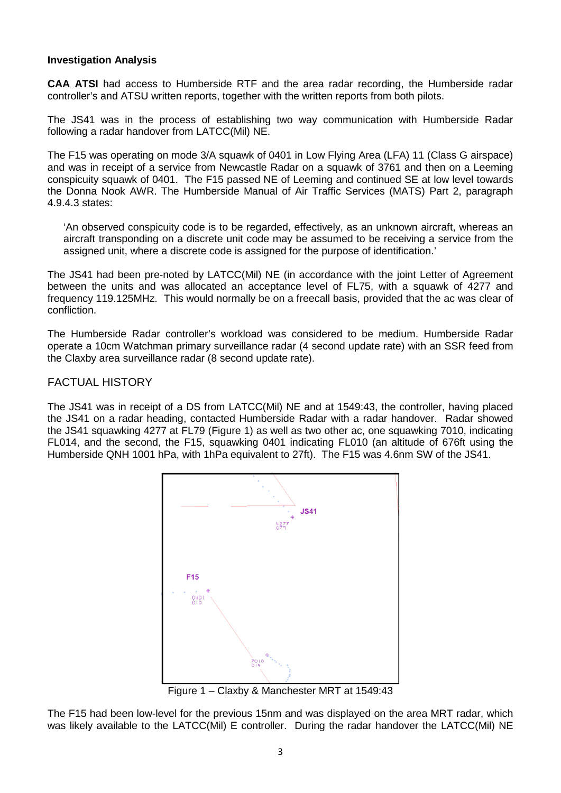### **Investigation Analysis**

**CAA ATSI** had access to Humberside RTF and the area radar recording, the Humberside radar controller's and ATSU written reports, together with the written reports from both pilots.

The JS41 was in the process of establishing two way communication with Humberside Radar following a radar handover from LATCC(Mil) NE.

The F15 was operating on mode 3/A squawk of 0401 in Low Flying Area (LFA) 11 (Class G airspace) and was in receipt of a service from Newcastle Radar on a squawk of 3761 and then on a Leeming conspicuity squawk of 0401. The F15 passed NE of Leeming and continued SE at low level towards the Donna Nook AWR. The Humberside Manual of Air Traffic Services (MATS) Part 2, paragraph 4.9.4.3 states:

'An observed conspicuity code is to be regarded, effectively, as an unknown aircraft, whereas an aircraft transponding on a discrete unit code may be assumed to be receiving a service from the assigned unit, where a discrete code is assigned for the purpose of identification.'

The JS41 had been pre-noted by LATCC(Mil) NE (in accordance with the joint Letter of Agreement between the units and was allocated an acceptance level of FL75, with a squawk of 4277 and frequency 119.125MHz. This would normally be on a freecall basis, provided that the ac was clear of confliction.

The Humberside Radar controller's workload was considered to be medium. Humberside Radar operate a 10cm Watchman primary surveillance radar (4 second update rate) with an SSR feed from the Claxby area surveillance radar (8 second update rate).

## FACTUAL HISTORY

The JS41 was in receipt of a DS from LATCC(Mil) NE and at 1549:43, the controller, having placed the JS41 on a radar heading, contacted Humberside Radar with a radar handover. Radar showed the JS41 squawking 4277 at FL79 (Figure 1) as well as two other ac, one squawking 7010, indicating FL014, and the second, the F15, squawking 0401 indicating FL010 (an altitude of 676ft using the Humberside QNH 1001 hPa, with 1hPa equivalent to 27ft). The F15 was 4.6nm SW of the JS41.



Figure 1 – Claxby & Manchester MRT at 1549:43

The F15 had been low-level for the previous 15nm and was displayed on the area MRT radar, which was likely available to the LATCC(Mil) E controller. During the radar handover the LATCC(Mil) NE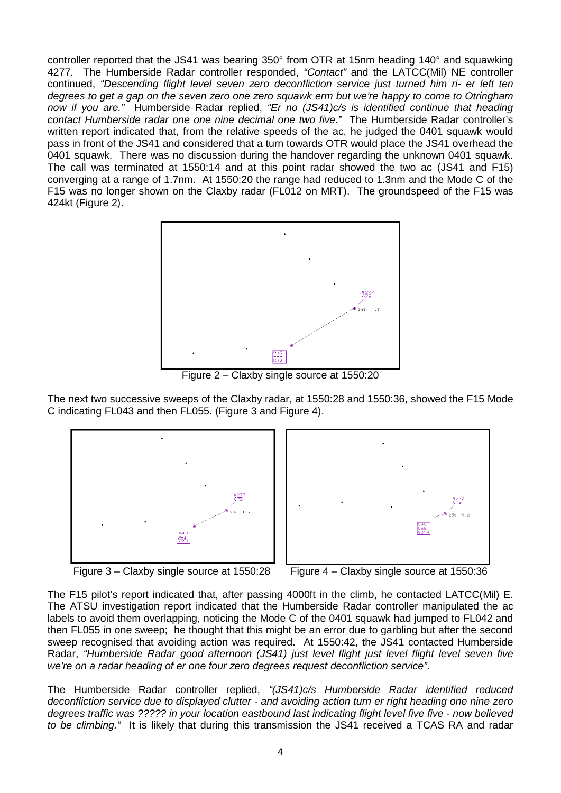controller reported that the JS41 was bearing 350° from OTR at 15nm heading 140° and squawking 4277. The Humberside Radar controller responded, *"Contact"* and the LATCC(Mil) NE controller continued, *"Descending flight level seven zero deconfliction service just turned him ri- er left ten degrees to get a gap on the seven zero one zero squawk erm but we're happy to come to Otringham now if you are."* Humberside Radar replied, *"Er no (JS41)c/s is identified continue that heading contact Humberside radar one one nine decimal one two five."* The Humberside Radar controller's written report indicated that, from the relative speeds of the ac, he judged the 0401 squawk would pass in front of the JS41 and considered that a turn towards OTR would place the JS41 overhead the 0401 squawk. There was no discussion during the handover regarding the unknown 0401 squawk. The call was terminated at 1550:14 and at this point radar showed the two ac (JS41 and F15) converging at a range of 1.7nm. At 1550:20 the range had reduced to 1.3nm and the Mode C of the F15 was no longer shown on the Claxby radar (FL012 on MRT). The groundspeed of the F15 was 424kt (Figure 2).



Figure 2 – Claxby single source at 1550:20

The next two successive sweeps of the Claxby radar, at 1550:28 and 1550:36, showed the F15 Mode C indicating FL043 and then FL055. (Figure 3 and Figure 4).





Figure 3 – Claxby single source at 1550:28 Figure 4 – Claxby single source at 1550:36

The F15 pilot's report indicated that, after passing 4000ft in the climb, he contacted LATCC(Mil) E. The ATSU investigation report indicated that the Humberside Radar controller manipulated the ac labels to avoid them overlapping, noticing the Mode C of the 0401 squawk had jumped to FL042 and then FL055 in one sweep; he thought that this might be an error due to garbling but after the second sweep recognised that avoiding action was required. At 1550:42, the JS41 contacted Humberside Radar, *"Humberside Radar good afternoon (JS41) just level flight just level flight level seven five we're on a radar heading of er one four zero degrees request deconfliction service"*.

The Humberside Radar controller replied, *"(JS41)c/s Humberside Radar identified reduced deconfliction service due to displayed clutter - and avoiding action turn er right heading one nine zero degrees traffic was ????? in your location eastbound last indicating flight level five five - now believed to be climbing."* It is likely that during this transmission the JS41 received a TCAS RA and radar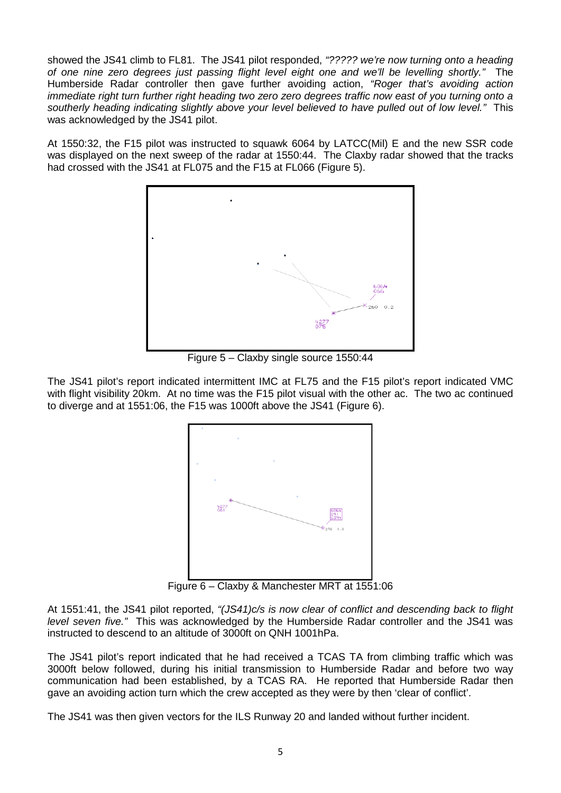showed the JS41 climb to FL81. The JS41 pilot responded, *"????? we're now turning onto a heading of one nine zero degrees just passing flight level eight one and we'll be levelling shortly."* The Humberside Radar controller then gave further avoiding action, *"Roger that's avoiding action immediate right turn further right heading two zero zero degrees traffic now east of you turning onto a southerly heading indicating slightly above your level believed to have pulled out of low level."* This was acknowledged by the JS41 pilot.

At 1550:32, the F15 pilot was instructed to squawk 6064 by LATCC(Mil) E and the new SSR code was displayed on the next sweep of the radar at 1550:44. The Claxby radar showed that the tracks had crossed with the JS41 at FL075 and the F15 at FL066 (Figure 5).



Figure 5 – Claxby single source 1550:44

The JS41 pilot's report indicated intermittent IMC at FL75 and the F15 pilot's report indicated VMC with flight visibility 20km. At no time was the F15 pilot visual with the other ac. The two ac continued to diverge and at 1551:06, the F15 was 1000ft above the JS41 (Figure 6).



Figure 6 – Claxby & Manchester MRT at 1551:06

At 1551:41, the JS41 pilot reported, *"(JS41)c/s is now clear of conflict and descending back to flight level seven five."* This was acknowledged by the Humberside Radar controller and the JS41 was instructed to descend to an altitude of 3000ft on QNH 1001hPa.

The JS41 pilot's report indicated that he had received a TCAS TA from climbing traffic which was 3000ft below followed, during his initial transmission to Humberside Radar and before two way communication had been established, by a TCAS RA. He reported that Humberside Radar then gave an avoiding action turn which the crew accepted as they were by then 'clear of conflict'.

The JS41 was then given vectors for the ILS Runway 20 and landed without further incident.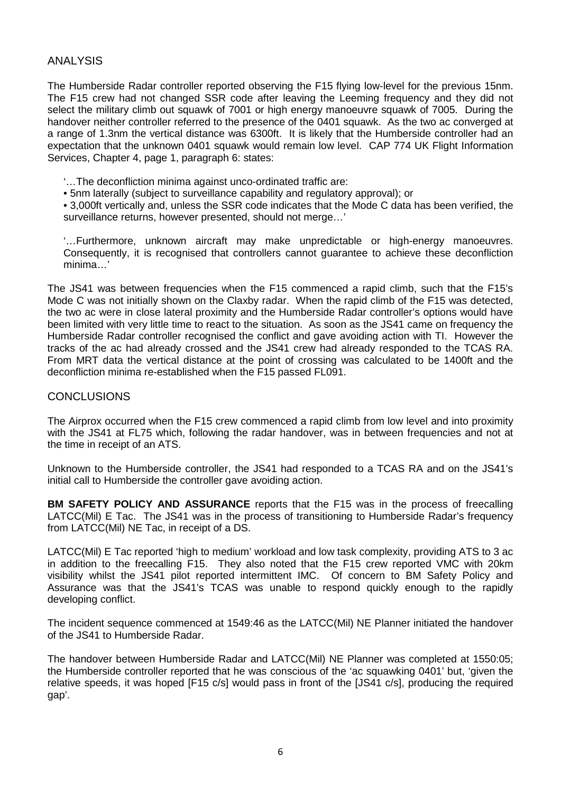# ANALYSIS

The Humberside Radar controller reported observing the F15 flying low-level for the previous 15nm. The F15 crew had not changed SSR code after leaving the Leeming frequency and they did not select the military climb out squawk of 7001 or high energy manoeuvre squawk of 7005. During the handover neither controller referred to the presence of the 0401 squawk. As the two ac converged at a range of 1.3nm the vertical distance was 6300ft. It is likely that the Humberside controller had an expectation that the unknown 0401 squawk would remain low level. CAP 774 UK Flight Information Services, Chapter 4, page 1, paragraph 6: states:

- '…The deconfliction minima against unco-ordinated traffic are:
- 5nm laterally (subject to surveillance capability and regulatory approval); or

• 3,000ft vertically and, unless the SSR code indicates that the Mode C data has been verified, the surveillance returns, however presented, should not merge…'

'…Furthermore, unknown aircraft may make unpredictable or high-energy manoeuvres. Consequently, it is recognised that controllers cannot guarantee to achieve these deconfliction minima…'

The JS41 was between frequencies when the F15 commenced a rapid climb, such that the F15's Mode C was not initially shown on the Claxby radar. When the rapid climb of the F15 was detected, the two ac were in close lateral proximity and the Humberside Radar controller's options would have been limited with very little time to react to the situation. As soon as the JS41 came on frequency the Humberside Radar controller recognised the conflict and gave avoiding action with TI. However the tracks of the ac had already crossed and the JS41 crew had already responded to the TCAS RA. From MRT data the vertical distance at the point of crossing was calculated to be 1400ft and the deconfliction minima re-established when the F15 passed FL091.

#### **CONCLUSIONS**

The Airprox occurred when the F15 crew commenced a rapid climb from low level and into proximity with the JS41 at FL75 which, following the radar handover, was in between frequencies and not at the time in receipt of an ATS.

Unknown to the Humberside controller, the JS41 had responded to a TCAS RA and on the JS41's initial call to Humberside the controller gave avoiding action.

**BM SAFETY POLICY AND ASSURANCE** reports that the F15 was in the process of freecalling LATCC(Mil) E Tac. The JS41 was in the process of transitioning to Humberside Radar's frequency from LATCC(Mil) NE Tac, in receipt of a DS.

LATCC(Mil) E Tac reported 'high to medium' workload and low task complexity, providing ATS to 3 ac in addition to the freecalling F15. They also noted that the F15 crew reported VMC with 20km visibility whilst the JS41 pilot reported intermittent IMC. Of concern to BM Safety Policy and Assurance was that the JS41's TCAS was unable to respond quickly enough to the rapidly developing conflict.

The incident sequence commenced at 1549:46 as the LATCC(Mil) NE Planner initiated the handover of the JS41 to Humberside Radar.

The handover between Humberside Radar and LATCC(Mil) NE Planner was completed at 1550:05; the Humberside controller reported that he was conscious of the 'ac squawking 0401' but, 'given the relative speeds, it was hoped [F15 c/s] would pass in front of the [JS41 c/s], producing the required gap'.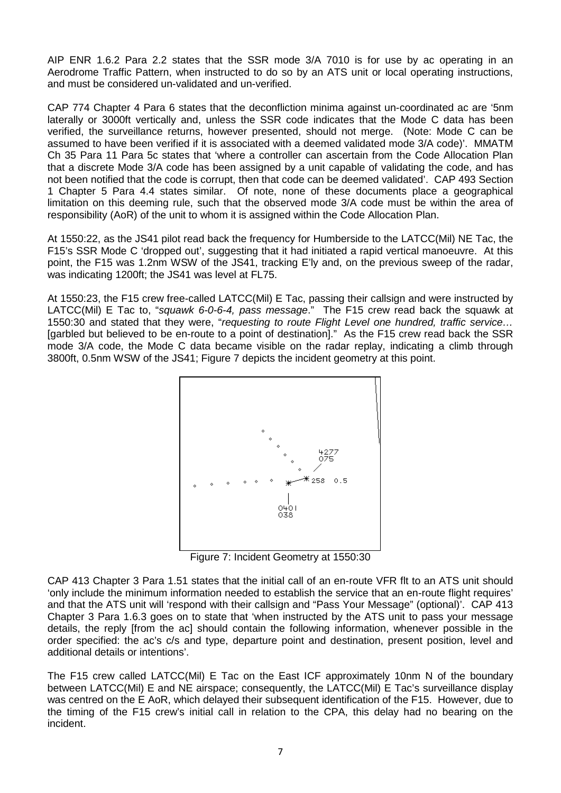AIP ENR 1.6.2 Para 2.2 states that the SSR mode 3/A 7010 is for use by ac operating in an Aerodrome Traffic Pattern, when instructed to do so by an ATS unit or local operating instructions, and must be considered un-validated and un-verified.

CAP 774 Chapter 4 Para 6 states that the deconfliction minima against un-coordinated ac are '5nm laterally or 3000ft vertically and, unless the SSR code indicates that the Mode C data has been verified, the surveillance returns, however presented, should not merge. (Note: Mode C can be assumed to have been verified if it is associated with a deemed validated mode 3/A code)'. MMATM Ch 35 Para 11 Para 5c states that 'where a controller can ascertain from the Code Allocation Plan that a discrete Mode 3/A code has been assigned by a unit capable of validating the code, and has not been notified that the code is corrupt, then that code can be deemed validated'. CAP 493 Section 1 Chapter 5 Para 4.4 states similar. Of note, none of these documents place a geographical limitation on this deeming rule, such that the observed mode 3/A code must be within the area of responsibility (AoR) of the unit to whom it is assigned within the Code Allocation Plan.

At 1550:22, as the JS41 pilot read back the frequency for Humberside to the LATCC(Mil) NE Tac, the F15's SSR Mode C 'dropped out', suggesting that it had initiated a rapid vertical manoeuvre. At this point, the F15 was 1.2nm WSW of the JS41, tracking E'ly and, on the previous sweep of the radar, was indicating 1200ft; the JS41 was level at FL75.

At 1550:23, the F15 crew free-called LATCC(Mil) E Tac, passing their callsign and were instructed by LATCC(Mil) E Tac to, "*squawk 6-0-6-4, pass message*." The F15 crew read back the squawk at 1550:30 and stated that they were, "*requesting to route Flight Level one hundred, traffic service…* [garbled but believed to be en-route to a point of destination]." As the F15 crew read back the SSR mode 3/A code, the Mode C data became visible on the radar replay, indicating a climb through 3800ft, 0.5nm WSW of the JS41; Figure 7 depicts the incident geometry at this point.



Figure 7: Incident Geometry at 1550:30

CAP 413 Chapter 3 Para 1.51 states that the initial call of an en-route VFR flt to an ATS unit should 'only include the minimum information needed to establish the service that an en-route flight requires' and that the ATS unit will 'respond with their callsign and "Pass Your Message" (optional)'. CAP 413 Chapter 3 Para 1.6.3 goes on to state that 'when instructed by the ATS unit to pass your message details, the reply [from the ac] should contain the following information, whenever possible in the order specified: the ac's c/s and type, departure point and destination, present position, level and additional details or intentions'.

The F15 crew called LATCC(Mil) E Tac on the East ICF approximately 10nm N of the boundary between LATCC(Mil) E and NE airspace; consequently, the LATCC(Mil) E Tac's surveillance display was centred on the E AoR, which delayed their subsequent identification of the F15. However, due to the timing of the F15 crew's initial call in relation to the CPA, this delay had no bearing on the incident.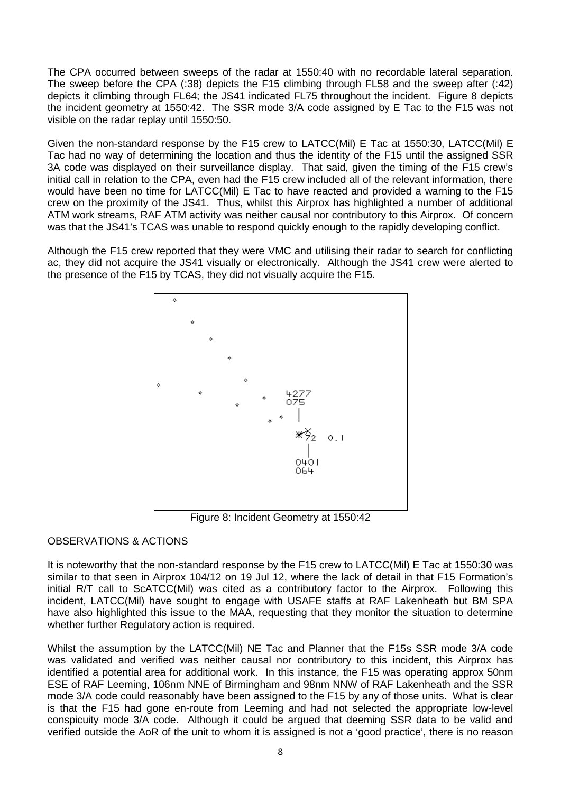The CPA occurred between sweeps of the radar at 1550:40 with no recordable lateral separation. The sweep before the CPA (:38) depicts the F15 climbing through FL58 and the sweep after (:42) depicts it climbing through FL64; the JS41 indicated FL75 throughout the incident. Figure 8 depicts the incident geometry at 1550:42. The SSR mode 3/A code assigned by E Tac to the F15 was not visible on the radar replay until 1550:50.

Given the non-standard response by the F15 crew to LATCC(Mil) E Tac at 1550:30, LATCC(Mil) E Tac had no way of determining the location and thus the identity of the F15 until the assigned SSR 3A code was displayed on their surveillance display. That said, given the timing of the F15 crew's initial call in relation to the CPA, even had the F15 crew included all of the relevant information, there would have been no time for LATCC(Mil) E Tac to have reacted and provided a warning to the F15 crew on the proximity of the JS41. Thus, whilst this Airprox has highlighted a number of additional ATM work streams, RAF ATM activity was neither causal nor contributory to this Airprox. Of concern was that the JS41's TCAS was unable to respond quickly enough to the rapidly developing conflict.

Although the F15 crew reported that they were VMC and utilising their radar to search for conflicting ac, they did not acquire the JS41 visually or electronically. Although the JS41 crew were alerted to the presence of the F15 by TCAS, they did not visually acquire the F15.



Figure 8: Incident Geometry at 1550:42

# OBSERVATIONS & ACTIONS

It is noteworthy that the non-standard response by the F15 crew to LATCC(Mil) E Tac at 1550:30 was similar to that seen in Airprox 104/12 on 19 Jul 12, where the lack of detail in that F15 Formation's initial R/T call to ScATCC(Mil) was cited as a contributory factor to the Airprox. Following this incident, LATCC(Mil) have sought to engage with USAFE staffs at RAF Lakenheath but BM SPA have also highlighted this issue to the MAA, requesting that they monitor the situation to determine whether further Regulatory action is required.

Whilst the assumption by the LATCC(Mil) NE Tac and Planner that the F15s SSR mode 3/A code was validated and verified was neither causal nor contributory to this incident, this Airprox has identified a potential area for additional work. In this instance, the F15 was operating approx 50nm ESE of RAF Leeming, 106nm NNE of Birmingham and 98nm NNW of RAF Lakenheath and the SSR mode 3/A code could reasonably have been assigned to the F15 by any of those units. What is clear is that the F15 had gone en-route from Leeming and had not selected the appropriate low-level conspicuity mode 3/A code. Although it could be argued that deeming SSR data to be valid and verified outside the AoR of the unit to whom it is assigned is not a 'good practice', there is no reason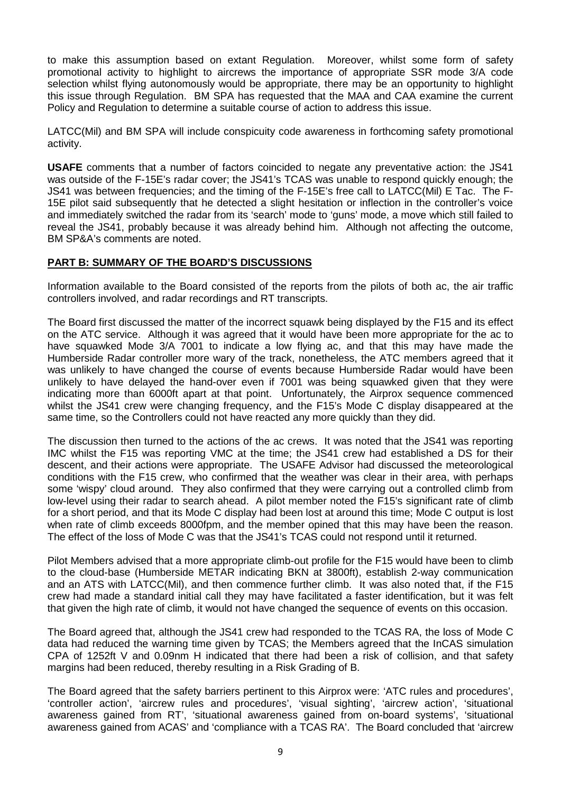to make this assumption based on extant Regulation. Moreover, whilst some form of safety promotional activity to highlight to aircrews the importance of appropriate SSR mode 3/A code selection whilst flying autonomously would be appropriate, there may be an opportunity to highlight this issue through Regulation. BM SPA has requested that the MAA and CAA examine the current Policy and Regulation to determine a suitable course of action to address this issue.

LATCC(Mil) and BM SPA will include conspicuity code awareness in forthcoming safety promotional activity.

**USAFE** comments that a number of factors coincided to negate any preventative action: the JS41 was outside of the F-15E's radar cover; the JS41's TCAS was unable to respond quickly enough; the JS41 was between frequencies; and the timing of the F-15E's free call to LATCC(Mil) E Tac. The F-15E pilot said subsequently that he detected a slight hesitation or inflection in the controller's voice and immediately switched the radar from its 'search' mode to 'guns' mode, a move which still failed to reveal the JS41, probably because it was already behind him. Although not affecting the outcome, BM SP&A's comments are noted.

#### **PART B: SUMMARY OF THE BOARD'S DISCUSSIONS**

Information available to the Board consisted of the reports from the pilots of both ac, the air traffic controllers involved, and radar recordings and RT transcripts.

The Board first discussed the matter of the incorrect squawk being displayed by the F15 and its effect on the ATC service. Although it was agreed that it would have been more appropriate for the ac to have squawked Mode 3/A 7001 to indicate a low flying ac, and that this may have made the Humberside Radar controller more wary of the track, nonetheless, the ATC members agreed that it was unlikely to have changed the course of events because Humberside Radar would have been unlikely to have delayed the hand-over even if 7001 was being squawked given that they were indicating more than 6000ft apart at that point. Unfortunately, the Airprox sequence commenced whilst the JS41 crew were changing frequency, and the F15's Mode C display disappeared at the same time, so the Controllers could not have reacted any more quickly than they did.

The discussion then turned to the actions of the ac crews. It was noted that the JS41 was reporting IMC whilst the F15 was reporting VMC at the time; the JS41 crew had established a DS for their descent, and their actions were appropriate. The USAFE Advisor had discussed the meteorological conditions with the F15 crew, who confirmed that the weather was clear in their area, with perhaps some 'wispy' cloud around. They also confirmed that they were carrying out a controlled climb from low-level using their radar to search ahead. A pilot member noted the F15's significant rate of climb for a short period, and that its Mode C display had been lost at around this time; Mode C output is lost when rate of climb exceeds 8000fpm, and the member opined that this may have been the reason. The effect of the loss of Mode C was that the JS41's TCAS could not respond until it returned.

Pilot Members advised that a more appropriate climb-out profile for the F15 would have been to climb to the cloud-base (Humberside METAR indicating BKN at 3800ft), establish 2-way communication and an ATS with LATCC(Mil), and then commence further climb. It was also noted that, if the F15 crew had made a standard initial call they may have facilitated a faster identification, but it was felt that given the high rate of climb, it would not have changed the sequence of events on this occasion.

The Board agreed that, although the JS41 crew had responded to the TCAS RA, the loss of Mode C data had reduced the warning time given by TCAS; the Members agreed that the InCAS simulation CPA of 1252ft V and 0.09nm H indicated that there had been a risk of collision, and that safety margins had been reduced, thereby resulting in a Risk Grading of B.

The Board agreed that the safety barriers pertinent to this Airprox were: 'ATC rules and procedures', 'controller action', 'aircrew rules and procedures', 'visual sighting', 'aircrew action', 'situational awareness gained from RT', 'situational awareness gained from on-board systems', 'situational awareness gained from ACAS' and 'compliance with a TCAS RA'. The Board concluded that 'aircrew